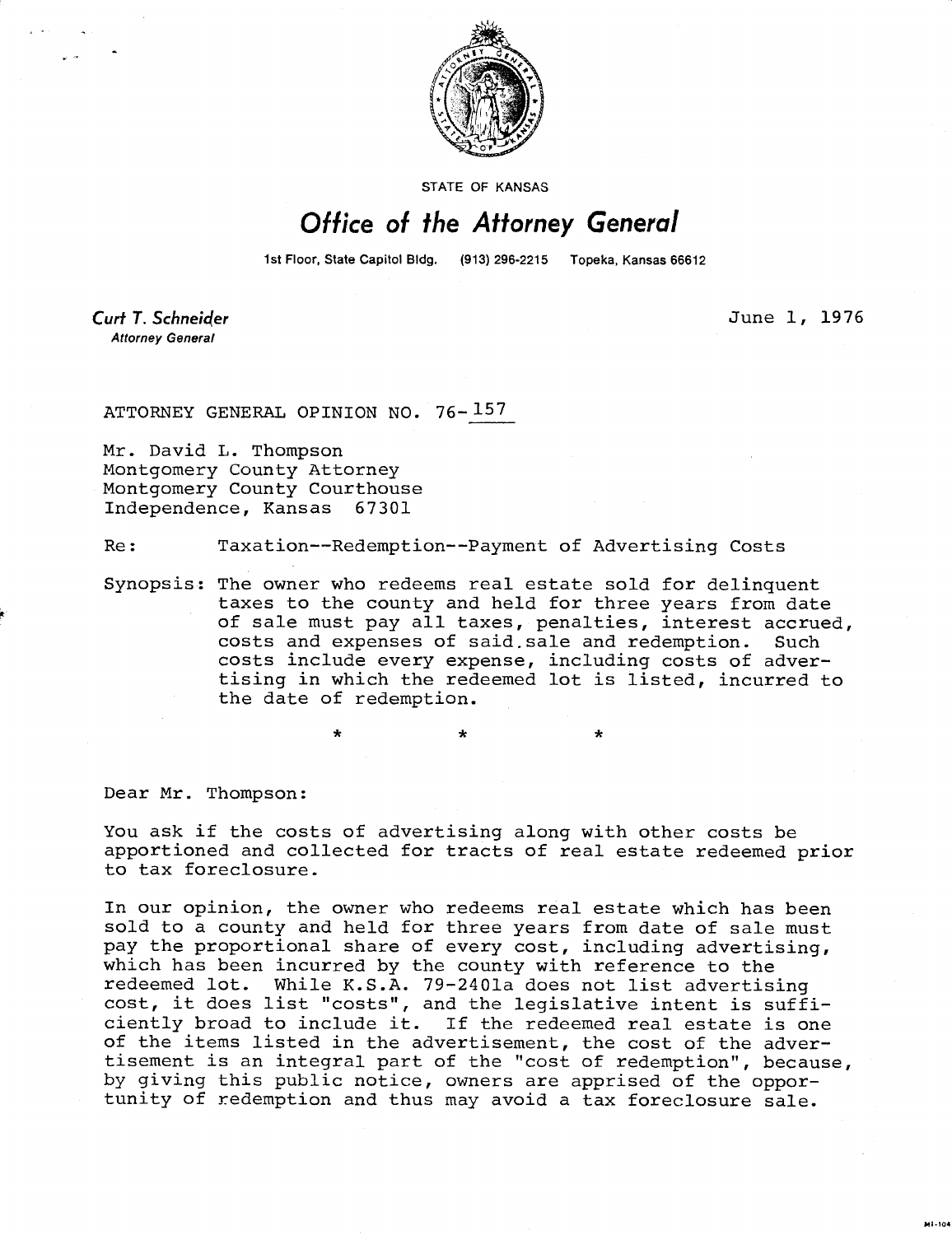

STATE OF KANSAS

## Office of the Attorney General

1st Floor, State Capitol Bldg. (913) 296-2215 Topeka, Kansas 66612

**Curt T. Schneider Attorney General** 

June 1, 1976

ATTORNEY GENERAL OPINION NO. 76-157

Mr. David L. Thompson Montgomery County Attorney Montgomery County Courthouse Independence, Kansas 67301

Re: Taxation--Redemption--Payment of Advertising Costs

Synopsis: The owner who redeems real estate sold for delinquent taxes to the county and held for three years from date of sale must pay all taxes, penalties, interest accrued, costs and expenses of said sale and redemption. Such costs include every expense, including costs of advertising in which the redeemed lot is listed, incurred to the date of redemption.

Dear Mr. Thompson:

You ask if the costs of advertising along with other costs be apportioned and collected for tracts of real estate redeemed prior to tax foreclosure.

In our opinion, the owner who redeems real estate which has been sold to a county and held for three years from date of sale must pay the proportional share of every cost, including advertising, which has been incurred by the county with reference to the redeemed lot. While K.S.A. 79-2401a does not list advertising cost, it does list "costs", and the legislative intent is sufficiently broad to include it. If the redeemed real estate is one of the items listed in the advertisement, the cost of the advertisement is an integral part of the "cost of redemption", because, by giving this public notice, owners are apprised of the opportunity of redemption and thus may avoid a tax foreclosure sale.